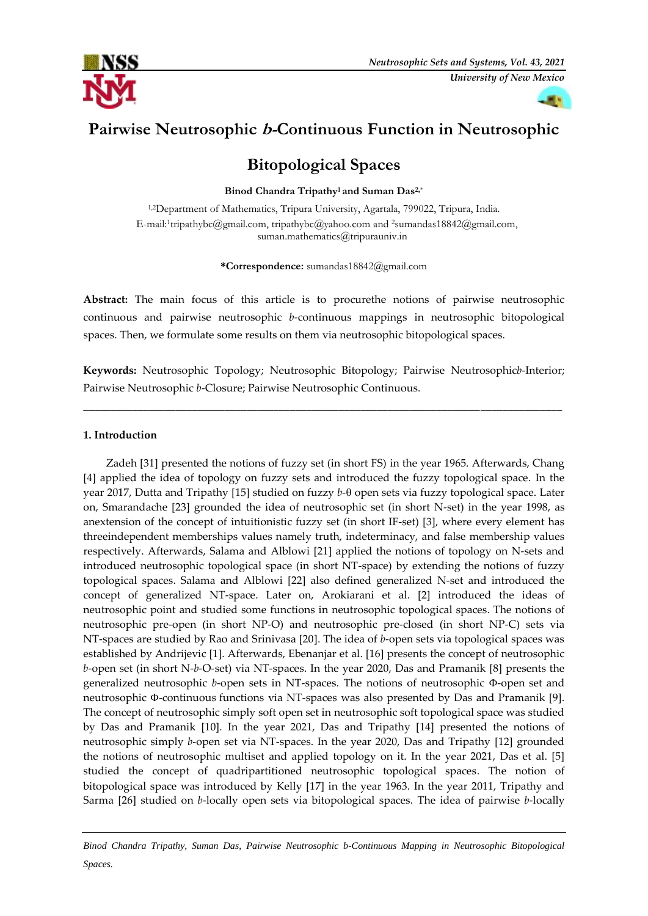



# **Pairwise Neutrosophic b-Continuous Function in Neutrosophic**

## **Bitopological Spaces**

**Binod Chandra Tripathy1 and Suman Das2,**\*

1,2Department of Mathematics, Tripura University, Agartala, 799022, Tripura, India. E-mail:<sup>1</sup>tripathybc@gmail.com, tripathybc@yahoo.com and <sup>2</sup>sumandas18842@gmail.com, suman.mathematics@tripurauniv.in

**\*Correspondence:** sumandas18842@gmail.com

**Abstract:** The main focus of this article is to procurethe notions of pairwise neutrosophic continuous and pairwise neutrosophic *b*-continuous mappings in neutrosophic bitopological spaces. Then, we formulate some results on them via neutrosophic bitopological spaces.

**Keywords:** Neutrosophic Topology; Neutrosophic Bitopology; Pairwise Neutrosophic*b*-Interior; Pairwise Neutrosophic *b*-Closure; Pairwise Neutrosophic Continuous.

\_\_\_\_\_\_\_\_\_\_\_\_\_\_\_\_\_\_\_\_\_\_\_\_\_\_\_\_\_\_\_\_\_\_\_\_\_\_\_\_\_\_\_\_\_\_\_\_\_\_\_\_\_\_\_\_\_\_\_\_\_\_\_\_\_\_\_\_\_\_\_\_\_\_\_\_\_\_\_\_\_\_\_\_\_\_\_\_

### **1. Introduction**

Zadeh [31] presented the notions of fuzzy set (in short FS) in the year 1965. Afterwards, Chang [4] applied the idea of topology on fuzzy sets and introduced the fuzzy topological space. In the year 2017, Dutta and Tripathy [15] studied on fuzzy *b*-0 open sets via fuzzy topological space. Later on, Smarandache [23] grounded the idea of neutrosophic set (in short N-set) in the year 1998, as anextension of the concept of intuitionistic fuzzy set (in short IF-set) [3], where every element has threeindependent memberships values namely truth, indeterminacy, and false membership values respectively. Afterwards, Salama and Alblowi [21] applied the notions of topology on N-sets and introduced neutrosophic topological space (in short NT-space) by extending the notions of fuzzy topological spaces. Salama and Alblowi [22] also defined generalized N-set and introduced the concept of generalized NT-space. Later on, Arokiarani et al. [2] introduced the ideas of neutrosophic point and studied some functions in neutrosophic topological spaces. The notions of neutrosophic pre-open (in short NP-O) and neutrosophic pre-closed (in short NP-C) sets via NT-spaces are studied by Rao and Srinivasa [20]. The idea of *b*-open sets via topological spaces was established by Andrijevic [1]. Afterwards, Ebenanjar et al. [16] presents the concept of neutrosophic *b*-open set (in short N-*b*-O-set) via NT-spaces. In the year 2020, Das and Pramanik [8] presents the generalized neutrosophic *b*-open sets in NT-spaces. The notions of neutrosophic  $\Phi$ -open set and neutrosophic  $\Phi$ -continuous functions via NT-spaces was also presented by Das and Pramanik [9]. The concept of neutrosophic simply soft open set in neutrosophic soft topological space was studied by Das and Pramanik [10]. In the year 2021, Das and Tripathy [14] presented the notions of neutrosophic simply *b*-open set via NT-spaces. In the year 2020, Das and Tripathy [12] grounded the notions of neutrosophic multiset and applied topology on it. In the year 2021, Das et al. [5] studied the concept of quadripartitioned neutrosophic topological spaces. The notion of bitopological space was introduced by Kelly [17] in the year 1963. In the year 2011, Tripathy and Sarma [26] studied on *b*-locally open sets via bitopological spaces. The idea of pairwise *b*-locally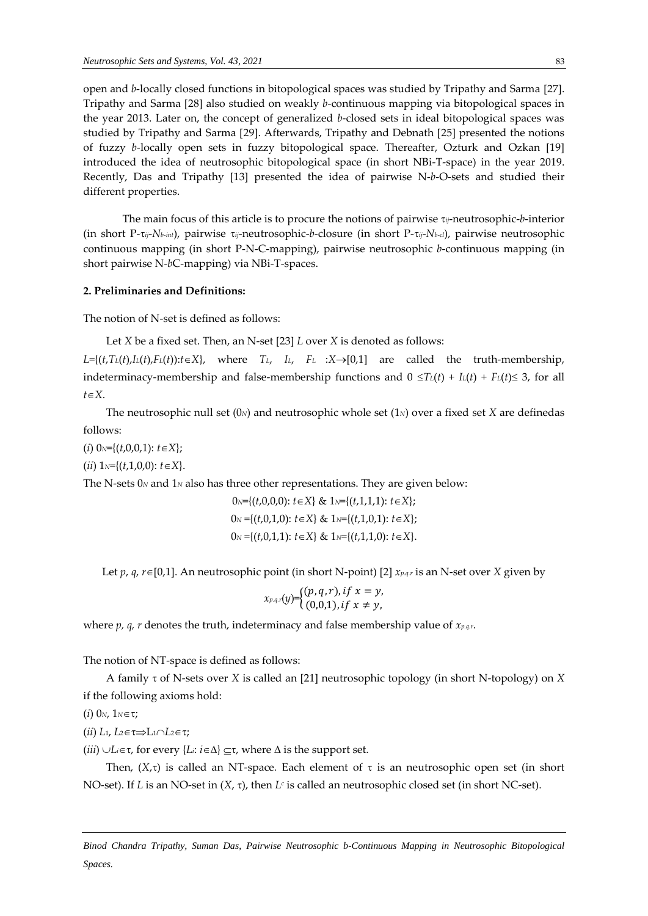open and *b*-locally closed functions in bitopological spaces was studied by Tripathy and Sarma [27]. Tripathy and Sarma [28] also studied on weakly *b*-continuous mapping via bitopological spaces in the year 2013. Later on, the concept of generalized *b*-closed sets in ideal bitopological spaces was studied by Tripathy and Sarma [29]. Afterwards, Tripathy and Debnath [25] presented the notions of fuzzy *b*-locally open sets in fuzzy bitopological space. Thereafter, Ozturk and Ozkan [19] introduced the idea of neutrosophic bitopological space (in short NBi-T-space) in the year 2019. Recently, Das and Tripathy [13] presented the idea of pairwise N-*b*-O-sets and studied their different properties.

The main focus of this article is to procure the notions of pairwise *ij*-neutrosophic-*b*-interior (in short P-*ij*-*Nb-int*), pairwise *ij*-neutrosophic-*b*-closure (in short P-*ij*-*Nb-cl*), pairwise neutrosophic continuous mapping (in short P-N-C-mapping), pairwise neutrosophic *b*-continuous mapping (in short pairwise N-*b*C-mapping) via NBi-T-spaces.

### **2. Preliminaries and Definitions:**

The notion of N-set is defined as follows:

```
Let X be a fixed set. Then, an N-set [23] L over X is denoted as follows:
```
 $L = \{(t, T_L(t), L(t), F_L(t)) : t \in X\}$ , where  $T_L$ ,  $L$ ,  $F_L$  : $X \rightarrow [0,1]$  are called the truth-membership, indeterminacy-membership and false-membership functions and  $0 \leq T_L(t) + I_L(t) + F_L(t) \leq 3$ , for all  $t \in X$ .

The neutrosophic null set (0*N*) and neutrosophic whole set (1*N*) over a fixed set *X* are definedas follows:

 $(i)$  0<sub>N</sub>={ $(t,0,0,1)$ :  $t \in X$ };

(*ii*)  $1_N = \{(t,1,0,0): t \in X\}.$ 

The N-sets 0*<sup>N</sup>* and 1*<sup>N</sup>* also has three other representations. They are given below:

$$
0 \le \{(t, 0, 0, 0): t \in X\} \& 1 \le \{(t, 1, 1, 1): t \in X\};
$$
  
\n
$$
0 \le \{(t, 0, 1, 0): t \in X\} \& 1 \le \{(t, 1, 0, 1): t \in X\};
$$
  
\n
$$
0 \le \{(t, 0, 1, 1): t \in X\} \& 1 \le \{(t, 1, 1, 0): t \in X\}.
$$

Let *p*, *q*, *r* $\in$ [0,1]. An neutrosophic point (in short N-point) [2] *x<sub>p.q.r</sub>* is an N-set over *X* given by

$$
x_{p,q,r}(y) = \begin{cases} (p,q,r), if x = y, \\ (0,0,1), if x \neq y, \end{cases}
$$

where *p, q, r* denotes the truth, indeterminacy and false membership value of *xp.q.r*.

The notion of NT-space is defined as follows:

A family of N-sets over *X* is called an [21] neutrosophic topology (in short N-topology) on *X* if the following axioms hold:

(*i*)  $0_N$ ,  $1_N \in \tau$ ;

(*ii*)  $L_1, L_2 \in \tau \Rightarrow L_1 \cap L_2 \in \tau;$ 

(*iii*)  $\cup L_i \in \tau$ , for every { $L_i: i \in \Delta$ }  $\subseteq \tau$ , where  $\Delta$  is the support set.

Then,  $(X,\tau)$  is called an NT-space. Each element of  $\tau$  is an neutrosophic open set (in short NO-set). If *L* is an NO-set in (*X*, τ), then *L<sup><i>c*</sup> is called an neutrosophic closed set (in short NC-set).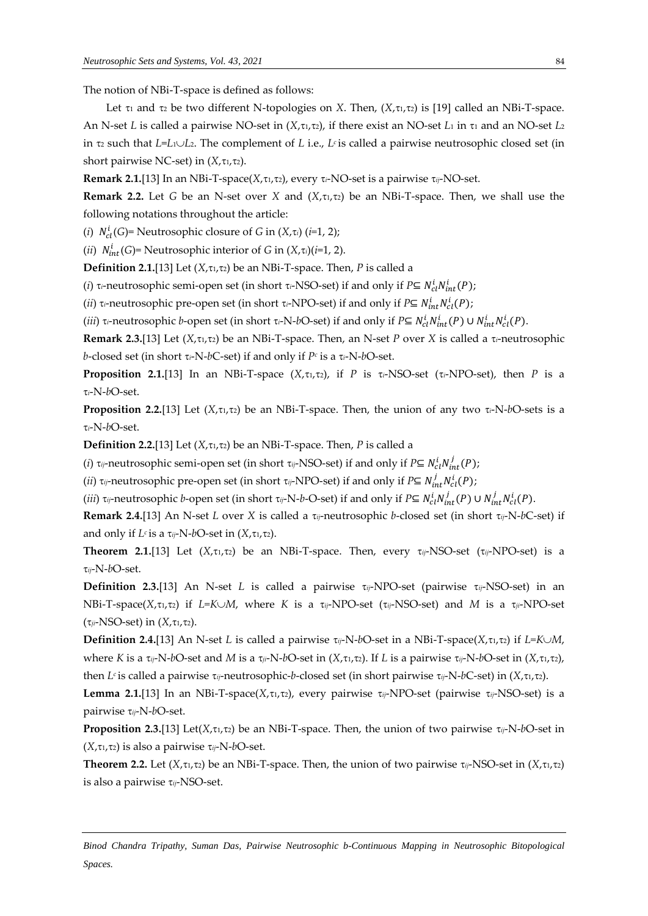The notion of NBi-T-space is defined as follows:

Let  $\tau_1$  and  $\tau_2$  be two different N-topologies on *X*. Then,  $(X, \tau_1, \tau_2)$  is [19] called an NBi-T-space. An N-set *L* is called a pairwise NO-set in  $(X, \tau_1, \tau_2)$ , if there exist an NO-set *L*<sub>1</sub> in  $\tau_1$  and an NO-set *L*<sub>2</sub> in <sup>2</sup> such that *L*=*L*1*L*2. The complement of *L* i.e., *L<sup>c</sup>* is called a pairwise neutrosophic closed set (in short pairwise NC-set) in  $(X, \tau_1, \tau_2)$ .

**Remark 2.1.**[13] In an NBi-T-space( $X$ , $\tau$ 1, $\tau$ 2), every  $\tau$ *i*-NO-set is a pairwise  $\tau$ *ij*-NO-set.

**Remark 2.2.** Let *G* be an N-set over *X* and  $(X, \tau_1, \tau_2)$  be an NBi-T-space. Then, we shall use the following notations throughout the article:

(*i*)  $N_{cl}^i(G)$ = Neutrosophic closure of *G* in (*X*, $\tau$ *i*) (*i*=1, 2);

(*ii*)  $N_{int}^{i}(G)$ = Neutrosophic interior of *G* in  $(X,\tau_i)(i=1, 2)$ .

**Definition 2.1.**[13] Let  $(X, \tau_1, \tau_2)$  be an NBi-T-space. Then, *P* is called a

(*i*)  $\tau$ *i*-neutrosophic semi-open set (in short  $\tau$ *i*-NSO-set) if and only if *P*⊆  $N_{cl}^i N_{int}^i(P)$ ;

(*ii*)  $\tau$ <sub>i</sub>-neutrosophic pre-open set (in short  $\tau$ <sub>i</sub>-NPO-set) if and only if *P*⊆  $N_{int}^i N_{cl}^i(P)$ ;

(*iii*) τ<sub>i</sub>-neutrosophic *b*-open set (in short τ<sub>i</sub>-N-*b*O-set) if and only if *P*⊆  $N_{cl}^iN_{int}^i(P) \cup N_{int}^iN_{cl}^i(P)$ .

**Remark 2.3.**[13] Let  $(X, \tau_1, \tau_2)$  be an NBi-T-space. Then, an N-set *P* over *X* is called a  $\tau_i$ -neutrosophic *b*-closed set (in short *i*-N-*b*C-set) if and only if *P<sup>c</sup>* is a *i*-N-*b*O-set.

**Proposition 2.1.**[13] In an NBi-T-space  $(X, \tau_1, \tau_2)$ , if *P* is  $\tau_i$ -NSO-set ( $\tau_i$ -NPO-set), then *P* is a *i*-N-*b*O-set.

**Proposition 2.2.**[13] Let  $(X, \tau_1, \tau_2)$  be an NBi-T-space. Then, the union of any two  $\tau_i$ -N-bO-sets is a *i*-N-*b*O-set.

**Definition 2.2.**[13] Let  $(X, \tau_1, \tau_2)$  be an NBi-T-space. Then, *P* is called a

*(i)*  $\tau_{ij}$ -neutrosophic semi-open set (in short  $\tau_{ij}$ -NSO-set) if and only if *P*⊆  $N_{cl}^i N_{int}^j(P)$ ;

(*ii*)  $\tau_{ij}$ -neutrosophic pre-open set (in short  $\tau_{ij}$ -NPO-set) if and only if *P*⊆  $N_{int}^j N_{cl}^i(P)$ ;

(*iii*)  $\tau_{ij}$ -neutrosophic *b*-open set (in short  $\tau_{ij}$ -N-*b*-O-set) if and only if *P*⊆  $N_{cl}^i(N_{int}^j(P) \cup N_{int}^jN_{cl}^i(P)$ .

**Remark 2.4.**[13] An N-set *L* over *X* is called a *ij*-neutrosophic *b*-closed set (in short *ij*-N-*b*C-set) if and only if  $L^c$  is a  $\tau_{ij}$ -N-bO-set in  $(X, \tau_1, \tau_2)$ .

**Theorem 2.1.**[13] Let  $(X, \tau_1, \tau_2)$  be an NBi-T-space. Then, every  $\tau_{ij}$ -NSO-set  $(\tau_{ij}$ -NPO-set) is a *ij*-N-*b*O-set.

**Definition 2.3.**[13] An N-set *L* is called a pairwise *ij*-NPO-set (pairwise *ij*-NSO-set) in an NBi-T-space( $X$ , $\tau_1$ , $\tau_2$ ) if *L*=*K* $\cup$ *M*, where *K* is a  $\tau_{ij}$ -NPO-set ( $\tau_{ij}$ -NSO-set) and *M* is a  $\tau_{ji}$ -NPO-set  $(\tau_{ii}$ -NSO-set) in  $(X, \tau_1, \tau_2)$ .

**Definition 2.4.**[13] An N-set *L* is called a pairwise  $\tau_{ij}$ -N-bO-set in a NBi-T-space(*X*, $\tau_i$ , $\tau_i$ ) if *L*=*K* $\cup$ *M*, where *K* is a  $\tau_{ij}$ -N-bO-set and *M* is a  $\tau_{ji}$ -N-bO-set in (*X*, $\tau_{1}$ , $\tau_{2}$ ). If *L* is a pairwise  $\tau_{ij}$ -N-bO-set in (*X*, $\tau_{1}$ , $\tau_{2}$ ), then *L<sup>c</sup>* is called a pairwise *ij*-neutrosophic-*b*-closed set (in short pairwise *ij*-N-*b*C-set) in (*X*,1,2).

**Lemma** 2.1.[13] In an NBi-T-space( $X$ , $\tau$ , $\tau$ , $\tau$ ), every pairwise  $\tau$ <sub>ij</sub>-NPO-set (pairwise  $\tau$ <sub>ij</sub>-NSO-set) is a pairwise *ij*-N-*b*O-set.

**Proposition 2.3.**[13] Let( $X, \tau_1, \tau_2$ ) be an NBi-T-space. Then, the union of two pairwise  $\tau_{ij}$ -N-bO-set in  $(X, \tau_1, \tau_2)$  is also a pairwise  $\tau_{ij}$ -N-bO-set.

**Theorem 2.2.** Let  $(X, \tau_1, \tau_2)$  be an NBi-T-space. Then, the union of two pairwise  $\tau_{ij}$ -NSO-set in  $(X, \tau_1, \tau_2)$ is also a pairwise *ij*-NSO-set.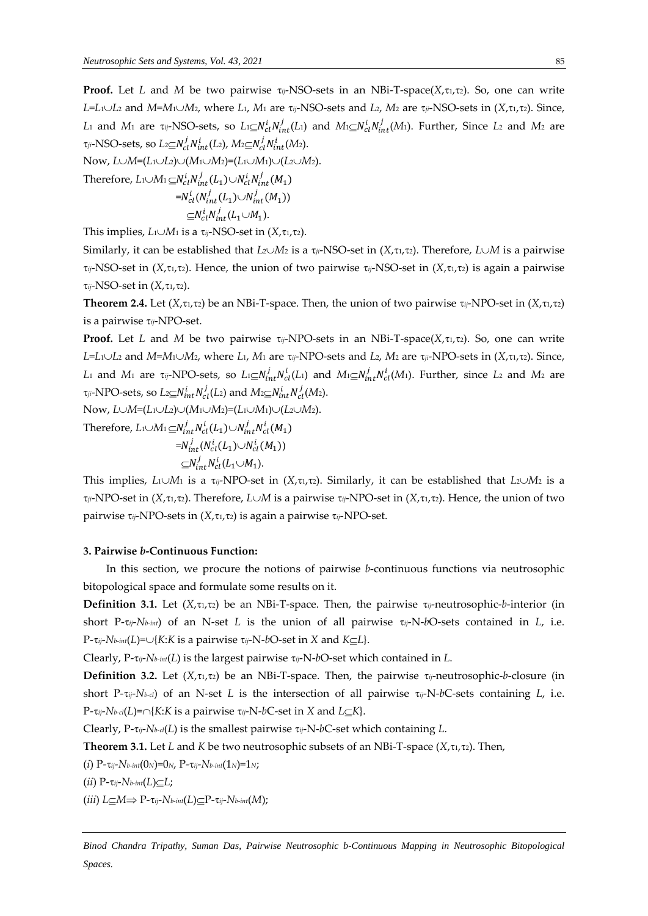**Proof.** Let *L* and *M* be two pairwise  $\tau_{ij}$ -NSO-sets in an NBi-T-space( $X$ , $\tau_{1}$ , $\tau_{2}$ ). So, one can write *L=L*1*L*<sup>2</sup> and *M=M*1*M*2, where *L*1, *M*<sup>1</sup> are *ij*-NSO-sets and *L*2, *M*<sup>2</sup> are *ji*-NSO-sets in (*X*,1,2). Since, L<sub>1</sub> and M<sub>1</sub> are  $\tau_{ij}$ -NSO-sets, so  $L_1 \subseteq N_{cl}^i N_{int}^j(L_1)$  and  $M_1 \subseteq N_{cl}^i N_{int}^j(M_1)$ . Further, Since L<sub>2</sub> and M<sub>2</sub> are  $\tau$ <sub>ji</sub>-NSO-sets, so  $L$ 2 $\subseteq$ N $_{cl}^{j}N_{int}^{i}(L_{2})$ ,  $M$ 2 $\subseteq$ N $_{cl}^{j}N_{int}^{i}(M_{2})$ .

 $Now, L \cup M = (L_1 \cup L_2) \cup (M_1 \cup M_2) = (L_1 \cup M_1) \cup (L_2 \cup M_2).$ 

Therefore,  $L$ 1 $\cup$ M<sub>1</sub>  $\subseteq$ N $_{cl}^{i}N_{int}^{j}(L_1)\cup N_{cl}^{i}N_{int}^{j}(M_1)$  $=N_{cl}^{i}(N_{int}^{j}(L_{1})\cup N_{int}^{j}(M_{1}))$  $\subseteq N_{cl}^i N_{int}^j (L_1 \cup M_1).$ 

This implies,  $L_1 \cup M_1$  is a  $\tau_{ij}$ -NSO-set in  $(X, \tau_1, \tau_2)$ .

Similarly, it can be established that  $L_2 \cup M_2$  is a  $\tau_{ji}$ -NSO-set in  $(X, \tau_i, \tau_2)$ . Therefore,  $L \cup M$  is a pairwise  $\tau_{ij}$ -NSO-set in (*X*, $\tau_1$ , $\tau_2$ ). Hence, the union of two pairwise  $\tau_{ij}$ -NSO-set in (*X*, $\tau_1$ , $\tau_2$ ) is again a pairwise  $\tau_{ij}$ -NSO-set in  $(X, \tau_1, \tau_2)$ .

**Theorem 2.4.** Let  $(X, \tau_1, \tau_2)$  be an NBi-T-space. Then, the union of two pairwise  $\tau_{ij}$ -NPO-set in  $(X, \tau_1, \tau_2)$ is a pairwise *ij*-NPO-set.

**Proof.** Let *L* and *M* be two pairwise  $\tau_{ij}$ -NPO-sets in an NBi-T-space( $X$ , $\tau_1$ , $\tau_2$ ). So, one can write  $L=L_1\cup L_2$  and  $M=M_1\cup M_2$ , where  $L_1$ ,  $M_1$  are  $\tau_{ij}$ -NPO-sets and  $L_2$ ,  $M_2$  are  $\tau_{ji}$ -NPO-sets in  $(X,\tau_1,\tau_2)$ . Since, *L*<sub>1</sub> and *M*<sub>1</sub> are  $\tau_{ij}$ -NPO-sets, so  $L_1 \subseteq N_{int}^j N_{cl}^i(L_1)$  and  $M_1 \subseteq N_{int}^j N_{cl}^i(M_1)$ . Further, since *L*<sub>2</sub> and *M*<sub>2</sub> are  $\tau_{ji}$ -NPO-sets, so  $L_2 \subseteq N_{int}^i N_{cl}^j(L_2)$  and  $M_2 \subseteq N_{int}^i N_{cl}^j(M_2)$ .

 $Now, L \cup M = (L_1 \cup L_2) \cup (M_1 \cup M_2) = (L_1 \cup M_1) \cup (L_2 \cup M_2).$ 

Therefore,  $L_1 \cup M_1 \subseteq N_{int}^j N_{cl}^i(L_1) \cup N_{int}^j N_{cl}^i(M_1)$  $=N_{int}^{j}(N_{cl}^{i}(L_{1})\cup N_{cl}^{i}(M_{1}))$  $\subseteq N_{int}^j N_{cl}^i (L_1 \cup M_1).$ 

This implies,  $L_1 \cup M_1$  is a  $\tau_{ij}$ -NPO-set in  $(X, \tau_{1}, \tau_{2})$ . Similarly, it can be established that  $L_2 \cup M_2$  is a  $\tau_{ij}$ -NPO-set in (*X*, $\tau_{1}$ , $\tau_{2}$ ). Therefore, *L* $\cup$ *M* is a pairwise  $\tau_{ij}$ -NPO-set in (*X*, $\tau_{1}$ , $\tau_{2}$ ). Hence, the union of two pairwise *τ<sub>ij</sub>*-NPO-sets in (*X*, τι, τ2) is again a pairwise τ<sub>ij</sub>-NPO-set.

#### **3. Pairwise** *b***-Continuous Function:**

In this section, we procure the notions of pairwise *b*-continuous functions via neutrosophic bitopological space and formulate some results on it.

**Definition 3.1.** Let  $(X, \tau_1, \tau_2)$  be an NBi-T-space. Then, the pairwise  $\tau_{ij}$ -neutrosophic-*b*-interior (in short P- $\tau_{ij}$ -*Nb-int*) of an N-set *L* is the union of all pairwise  $\tau_{ij}$ -N-*bO*-sets contained in *L*, i.e.  $P$ - $\tau_{ij}$ - $N$ *b*-*int*(*L*)= $\cup$ {*K*:*K* is a pairwise  $\tau_{ij}$ -N-*b*O-set in *X* and *K* $\subseteq$ *L*}.

Clearly, P-*ij*-*Nb-int*(*L*) is the largest pairwise *ij*-N-*b*O-set which contained in *L*.

**Definition 3.2.** Let  $(X, \tau_1, \tau_2)$  be an NBi-T-space. Then, the pairwise  $\tau_{ij}$ -neutrosophic-*b*-closure (in short P-*ij*-*Nb-cl*) of an N-set *L* is the intersection of all pairwise *ij*-N-*b*C-sets containing *L*, i.e.  $P$ - $\tau_{ij}$ - $N$ *b-cl*(*L*)= $\cap$ {*K*:*K* is a pairwise  $\tau_{ij}$ -N-*b*C-set in *X* and *L* $\subseteq$ *K*}.

Clearly,  $P$ - $\tau_{ij}$ - $N$ *b-cl*(*L*) is the smallest pairwise  $\tau_{ij}$ -N-*b*C-set which containing *L*.

**Theorem 3.1.** Let *L* and *K* be two neutrosophic subsets of an NBi-T-space ( $X, \tau_1, \tau_2$ ). Then,

(*i*)  $P$ - $\tau_{ij}$ - $N$ *b-int*(0*N*)=0*N*,  $P$ - $\tau_{ij}$ - $N$ *b-int*(1*N*)=1*N*;

 $(iii)$   $P$ - $\tau_{ij}$ - $N$ *b-int* $(L) \subseteq L$ ;

 $(iii)$   $L \subseteq M \Rightarrow P$ - $\tau_{ij}$ - $N$ *b-int* $(L) \subseteq P$ - $\tau_{ij}$ - $N$ *b-int* $(M)$ ;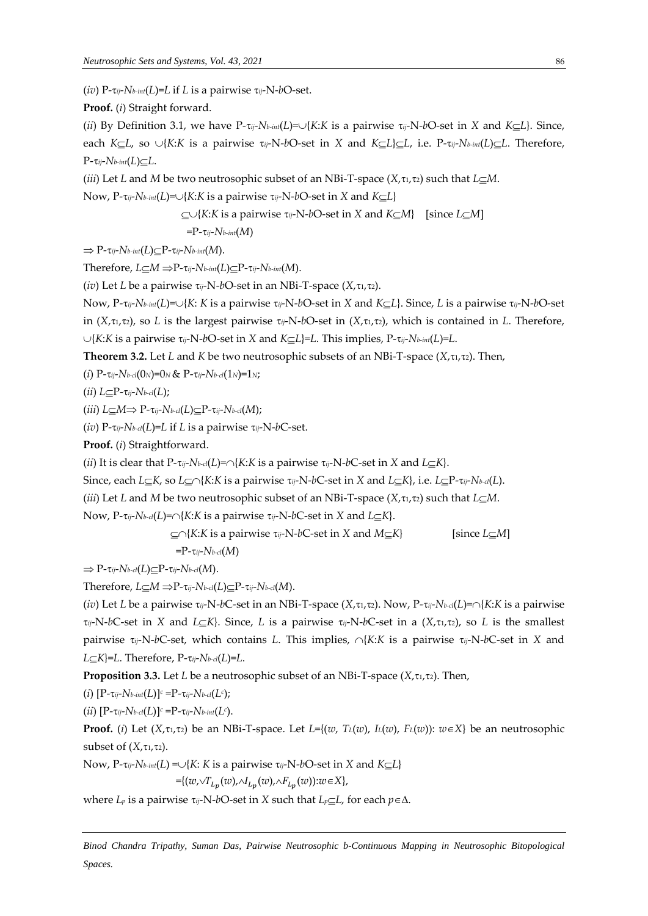(*iv*)  $P$ - $\tau_{ij}$ - $N$ *b<sub>-int</sub>*(*L*)=*L* if *L* is a pairwise  $\tau_{ij}$ - $N$ -*b*O-set.

**Proof.** (*i*) Straight forward.

(*ii*) By Definition 3.1, we have  $P$ -*tij*- $N$ *b-int*(*L*)= $\cup$ {*K*:*K* is a pairwise  $\tau$ <sub>*ij*</sub>-N-*b*O-set in *X* and *K* $\subset$ *L*}. Since, each *K* $\subset$ *L*, so  $\cup$ {*K*:*K* is a pairwise  $\tau_{ij}$ -N-bO-set in *X* and *K* $\subset$ *L*} $\subset$ *L*, i.e. P- $\tau_{ij}$ -*Nb-int*(*L*) $\subset$ *L*. Therefore,  $P$ - $\tau_{ij}$ - $N$ *b-int*(*L*) $\subseteq$ *L*.

(*iii*) Let *L* and *M* be two neutrosophic subset of an NBi-T-space (*X*, $\tau_1$ , $\tau_2$ ) such that *L* $\subseteq$ *M*.

Now,  $P$ - $\tau_{ij}$ - $N$ *b*-*int*(*L*)= $\cup$ {*K*:*K* is a pairwise  $\tau_{ij}$ -N-*b*O-set in *X* and *K* $\subset$ *L*}

$$
\subseteq \cup \{K: K \text{ is a pairwise } \tau_{ij} \text{-N-} bO \text{-set in } X \text{ and } K \subseteq M\}
$$
 [since  $L \subseteq M$ ]

 $=$ P- $\tau$ *ij*- $N$ *b-int*(*M*)

 $\Rightarrow$  P- $\tau_{ij}$ - $N_{b-int}(L)$  $\subseteq$ P- $\tau_{ij}$ - $N_{b-int}(M)$ .

Therefore,  $L \subseteq M \Rightarrow P$ - $\tau_{ij}$ - $N$ *b-int*( $L$ ) $\subseteq P$ - $\tau_{ij}$ - $N$ *b-int*( $M$ ).

(*iv*) Let *L* be a pairwise  $\tau_{ij}$ -N-*b*O-set in an NBi-T-space (*X*, $\tau_1$ , $\tau_2$ ).

Now, P-*ij*-*Nb-int*(*L*)={*K*: *K* is a pairwise *ij*-N-*b*O-set in *X* and *KL*}. Since, *L* is a pairwise *ij*-N-*b*O-set in  $(X, \tau_1, \tau_2)$ , so *L* is the largest pairwise  $\tau_{ij}$ -N-bO-set in  $(X, \tau_1, \tau_2)$ , which is contained in *L*. Therefore, {*K*:*K* is a pairwise *ij*-N-*b*O-set in *X* and *KL*}=*L*. This implies, P-*ij*-*Nb-int*(*L*)=*L*.

**Theorem 3.2.** Let *L* and *K* be two neutrosophic subsets of an NBi-T-space  $(X, \tau_1, \tau_2)$ . Then,

(*i*)  $P$ - $\tau_{ij}$ - $N$ *b-cl*(0*N*)=0*N* &  $P$ - $\tau_{ij}$ - $N$ *b-cl*(1*N*)=1*N*;

 $(iii)$   $L \subseteq P$ - $\tau_{ij}$ - $N$ *b-cl*(*L*);

 $(iii)$   $L \subseteq M \Rightarrow P$ - $\tau_{ij}$ - $N$ *b-cl*( $L$ ) $\subseteq P$ - $\tau_{ij}$ - $N$ *b-cl*( $M$ );

(*iv*)  $P$ - $\tau_{ij}$ - $N$ *b-cl*(*L*)=*L* if *L* is a pairwise  $\tau_{ij}$ -N-*b*C-set.

**Proof.** (*i*) Straightforward.

(*ii*) It is clear that P- $\tau_{ij}$ -*Nb-cl*(*L*)= $\cap$ {*K*:*K* is a pairwise  $\tau_{ij}$ -N-*bC*-set in *X* and *L<sub>* $\subseteq$ *</sub>K*}.

Since, each *L*<sub>*C</del></sub>K***, so** *L***<sub><b>***C***</sub>** $\cap$ {*K*:*K* is a pairwise  $\tau_{ij}$ -N-*b*C-set in *X* and *L*<sub>*C</del></sub>K***}, i.e.** *L***<sub><b>***C***</sub>P-** $\tau_{ij}$ **-***N***<sub>***b-cl***</sub>(***L***).</sub>**</sub></sub></sub>

(*iii*) Let *L* and *M* be two neutrosophic subset of an NBi-T-space (*X*, $\tau_1$ , $\tau_2$ ) such that *L* $\subseteq$ *M*.

Now,  $P$ - $\tau_{ij}$ - $N$ *b-cl*(*L*)= $\cap$ {*K*:*K* is a pairwise  $\tau_{ij}$ -N-*b*C-set in *X* and *L* $\subseteq$ *K*}.

 $\subseteq \cap \{K:K \text{ is a pairwise } \tau_{ij}\text{-N-}bC\text{-set in } X \text{ and } M\subseteq K\}$  [since  $L\subseteq M$ ]

=P-*ij*-*Nb-cl*(*M*)

 $\Rightarrow$  P- $\tau_{ij}$ - $N_{b\text{-}cl}(L)$  $\subseteq$ P- $\tau_{ij}$ - $N_{b\text{-}cl}(M)$ .

Therefore,  $L \subseteq M \Rightarrow P$ - $\tau_{ij}$ - $N_{b\text{-}cl}(L) \subseteq P$ - $\tau_{ij}$ - $N_{b\text{-}cl}(M)$ .

(*iv*) Let *L* be a pairwise  $\tau_{ij}$ -N-*b*C-set in an NBi-T-space (*X*, $\tau_{1}$ , $\tau_{2}$ ). Now, P- $\tau_{ij}$ -*Nb-cl*(*L*)= $\cap$ {*K*:*K* is a pairwise  $\tau_{ij}$ -N-*b*C-set in *X* and *L*<sub>*C*</sub>*K*<sub>}</sub>. Since, *L* is a pairwise  $\tau_{ij}$ -N-*b*C-set in a (*X*, $\tau_{1}$ , $\tau_{2}$ ), so *L* is the smallest pairwise  $\tau_{ij}$ -N-*b*C-set, which contains *L*. This implies,  $\cap$ {*K*:*K* is a pairwise  $\tau_{ij}$ -N-*b*C-set in *X* and  $L \subseteq K$  = *L*. Therefore, P- $\tau_{ij}$ - $N$ *b-cl*(*L*)=*L*.

**Proposition 3.3.** Let *L* be a neutrosophic subset of an NBi-T-space  $(X, \tau_1, \tau_2)$ . Then,

 $(i)$   $[P-\tau_{ij}-N_{b-int}(L)]$ <sup>c</sup> = $P-\tau_{ij}-N_{b-cl}(L^c)$ ;

 $(iii)$   $[P-\tau_{ij}-N_b$ -*cl*(*L*)]<sup>c</sup> =P- $\tau_{ij}-N_b$ -*int*(*L*<sup>c</sup>).

**Proof.** (*i*) Let  $(X, \tau_1, \tau_2)$  be an NBi-T-space. Let  $L = \{(w, T_L(w), L(w), F_L(w)) : w \in X\}$  be an neutrosophic subset of  $(X, \tau_1, \tau_2)$ .

Now,  $P$ - $\tau_{ij}$ - $N$ *b*-*int*(*L*) = $\cup$ {*K*: *K* is a pairwise  $\tau_{ij}$ -N-*b*O-set in *X* and *K* $\subseteq$ *L*}

 $= \{ (w, \sqrt{T_{L_p}}(w), \sqrt{L_p}(w), \sqrt{F_{L_p}}(w)) : w \in X \},\$ 

where  $L_p$  is a pairwise  $\tau_{ij}$ -N-*b*O-set in *X* such that  $L_p \subseteq L$ , for each  $p \in \Delta$ .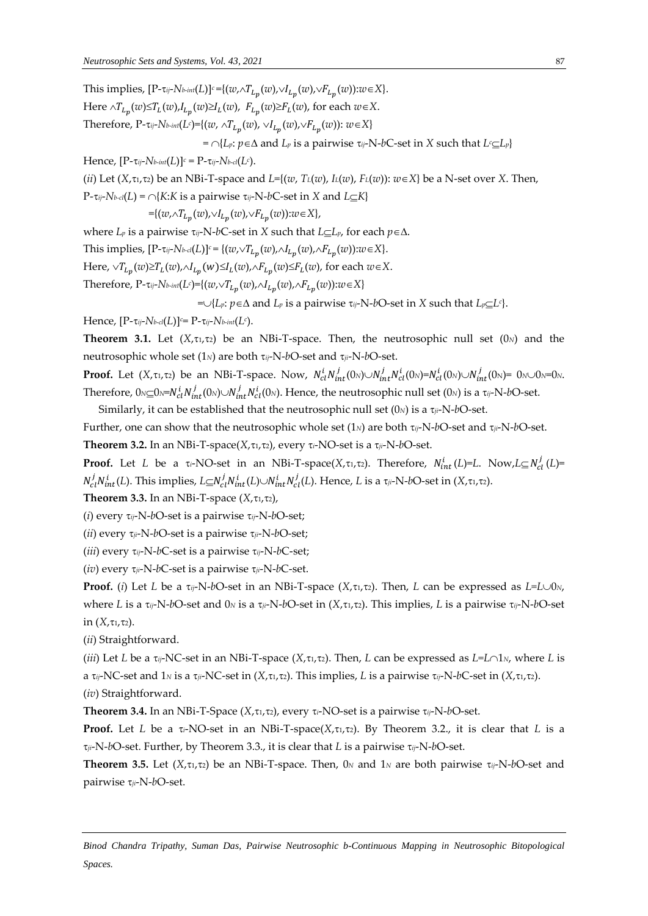This implies,  $[P-\tau_{ij}-N_{b-int}(L)]^c = \{(w, \wedge T_{L_p}(w), \vee I_{L_p}(w), \vee F_{L_p}(w)) : w \in X\}.$ 

Here  $\wedge T_{L_p}(w) \leq T_L(w)$ ,  $I_{L_p}(w) \geq I_L(w)$ ,  $F_{L_p}(w) \geq F_L(w)$ , for each  $w \in X$ . Therefore, P- $\tau_{ij}$ -*Nb-int*(*L<sup>c</sup>*)={(*w*,  $\wedge T_{L_p}(w)$ ,  $\vee I_{L_p}(w)$ , $\vee F_{L_p}(w)$ ):  $w \in X$ }  $=$   $\cap$ {*L<sub>p</sub>*: *p* $\in$ ∆ and *L<sub>p</sub>* is a pairwise  $\tau$ <sub>*ij*</sub>-N-*b*C-set in *X* such that *L<sup>c</sup>* $\subset$ *L<sub>p</sub>*} Hence,  $[P-\tau_{ij}-N_b_{int}(L)]^c = P-\tau_{ij}-N_b_{cd}(L^c)$ . (*ii*) Let  $(X, \tau_1, \tau_2)$  be an NBi-T-space and  $L = \{(w, T_L(w), L(w), F_L(w)) : w \in X\}$  be a N-set over *X*. Then,  $P$ - $\tau_{ij}$ -*Nb-cl*(*L*) =  $\cap$ {*K*:*K* is a pairwise  $\tau_{ij}$ -N-*b*C-set in *X* and *L* $\subset$ *K*}  $=\{(w, \wedge T_{L_p}(w), \vee I_{L_p}(w), \vee F_{L_p}(w)) : w \in X\},\$ where  $L_p$  is a pairwise  $\tau_{ij}$ -N-*b*C-set in *X* such that  $L \subseteq L_p$ , for each  $p \in \Delta$ . This implies,  $[P-\tau_{ij}-N_b\text{-}cl(L)]^c = \{(w,\vee T_{L_p}(w),\wedge I_{L_p}(w),\wedge F_{L_p}(w)) : w \in X\}.$ Here,  $\vee T_{L_p}(w) \geq T_L(w)$ ,  $\wedge I_{L_p}(w) \leq I_L(w)$ ,  $\wedge F_{L_p}(w) \leq F_L(w)$ , for each  $w \in X$ .  $\text{Therefore, } P\text{-}\tau_{ij}\text{-}N$ *b*- $int(L^c)$ ={( $w, \vee T_{L_p}(w), \wedge I_{L_p}(w), \wedge F_{L_p}(w)$ ): $w \in X$ }

 $=\cup\{L_p: p\in\Delta \text{ and } L_p \text{ is a pairwise } \tau_{ij}\text{-N-}b\text{-}set \text{ in } X \text{ such that } L_p\subseteq L^c\}.$ 

Hence, [P-*ij*-*Nb*-*cl*(*L*)]*c*= P-*ij*-*Nb*-*int*(*L<sup>c</sup>* ).

**Theorem 3.1.** Let  $(X, \tau_1, \tau_2)$  be an NBi-T-space. Then, the neutrosophic null set  $(0_N)$  and the neutrosophic whole set  $(1_N)$  are both  $\tau_{ij}$ -N-*b*O-set and  $\tau_{ji}$ -N-*b*O-set.

**Proof.** Let  $(X, \tau_1, \tau_2)$  be an NBi-T-space. Now,  $N_{cl}^i N_{int}^j (0_N) \cup N_{int}^j N_{cl}^i (0_N) = N_{cl}^i (0_N) \cup N_{int}^j (0_N) = 0_N \cup 0_N = 0_N$ . Therefore,  $0$ <sub>N⊆</sub>O<sub>N</sub>=N $_{cl}^i$ N $_{int}^j$ (O<sub>N</sub>) $\cup$ N $_{int}^j$ N $_{cl}^i$ (O<sub>N</sub>). Hence, the neutrosophic null set (O<sub>N</sub>) is a τ<sub>ij</sub>-N-bO-set.

Similarly, it can be established that the neutrosophic null set  $(0<sub>N</sub>)$  is a  $\tau_{ji}$ -N-*b*O-set.

Further, one can show that the neutrosophic whole set (1*N*) are both *ij*-N-*b*O-set and *ji*-N-*b*O-set. **Theorem 3.2.** In an NBi-T-space( $X, \tau_1, \tau_2$ ), every  $\tau_i$ -NO-set is a  $\tau_{ji}$ -N-bO-set.

**Proof.** Let *L* be a  $\tau_i$ -NO-set in an NBi-T-space(*X*, $\tau_1$ , $\tau_2$ ). Therefore,  $N_{int}^i(L)=L$ . Now, $L\subseteq N_{cl}^j(L)=$  $N_{cl}^j N_{int}^i(L)$ . This implies,  $L \subseteq N_{cl}^j N_{int}^i(L) \cup N_{int}^i N_{cl}^j(L)$ . Hence,  $L$  is a  $\tau_{ji}$ -N-bO-set in (*X*, $\tau$ 1, $\tau$ 2).

**Theorem 3.3.** In an NBi-T-space  $(X, \tau_1, \tau_2)$ ,

(*i*) every *ij*-N-*b*O-set is a pairwise *ij*-N-*b*O-set;

(*ii*) every  $\tau_{ji}$ -N-*b*O-set is a pairwise  $\tau_{ji}$ -N-*b*O-set;

(*iii*) every  $\tau_{ij}$ -N-*b*C-set is a pairwise  $\tau_{ij}$ -N-*b*C-set;

(*iv*) every  $\tau_{ji}$ -N-*b*C-set is a pairwise  $\tau_{ji}$ -N-*b*C-set.

**Proof.** (*i*) Let *L* be a  $\tau_{ij}$ -N-*b*O-set in an NBi-T-space (*X*, $\tau_{1}$ , $\tau_{2}$ ). Then, *L* can be expressed as *L*=*L* $\cup$ 0*N*, where *L* is a  $\tau_{ij}$ -N-*b*O-set and 0*N* is a  $\tau_{ji}$ -N-*b*O-set in (*X*, $\tau_{1}$ , $\tau_{2}$ ). This implies, *L* is a pairwise  $\tau_{ij}$ -N-*b*O-set in  $(X, \tau_1, \tau_2)$ .

(*ii*) Straightforward.

(*iii*) Let *L* be a  $\tau_{ij}$ -NC-set in an NBi-T-space (*X*, $\tau_i$ , $\tau_2$ ). Then, *L* can be expressed as *L*=*L* $\cap$ 1*N*, where *L* is a  $\tau_{ij}$ -NC-set and  $1_N$  is a  $\tau_{ji}$ -NC-set in  $(X, \tau_1, \tau_2)$ . This implies, *L* is a pairwise  $\tau_{ij}$ -N-*b*C-set in  $(X, \tau_1, \tau_2)$ . (*iv*) Straightforward.

**Theorem 3.4.** In an NBi-T-Space  $(X, \tau_1, \tau_2)$ , every  $\tau_i$ -NO-set is a pairwise  $\tau_i$ -N-bO-set.

**Proof.** Let *L* be a  $\tau_i$ -NO-set in an NBi-T-space( $X$ , $\tau_1$ , $\tau_2$ ). By Theorem 3.2., it is clear that *L* is a *ji*-N-*b*O-set. Further, by Theorem 3.3., it is clear that *L* is a pairwise *ij*-N-*b*O-set.

**Theorem 3.5.** Let  $(X, \tau_1, \tau_2)$  be an NBi-T-space. Then, 0*N* and 1*N* are both pairwise  $\tau_{ij}$ -N-bO-set and pairwise  $\tau_{ji}$ -N-bO-set.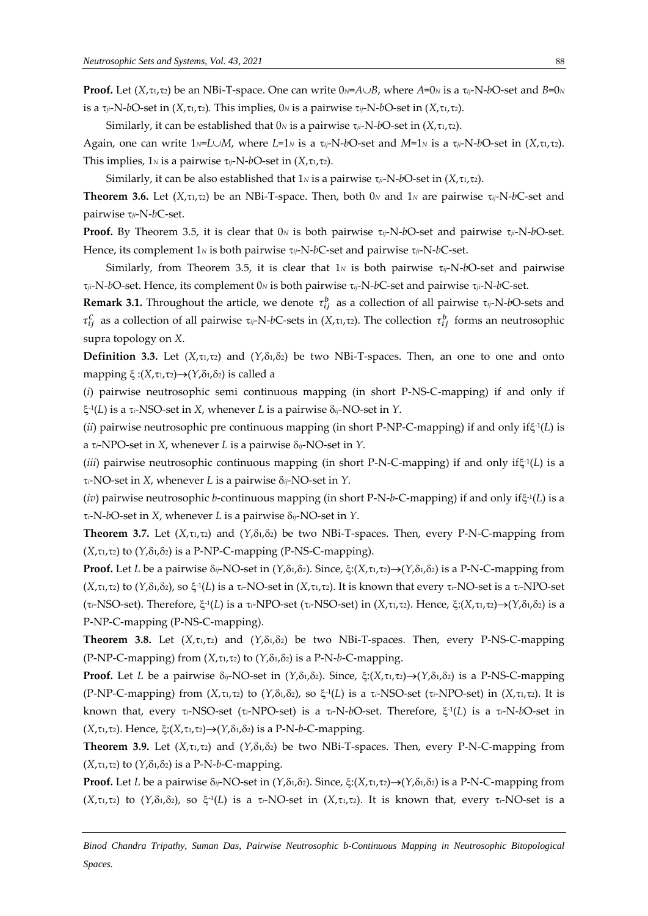**Proof.** Let  $(X, \tau_1, \tau_2)$  be an NBi-T-space. One can write  $0 \le A \cup B$ , where  $A=0$ *N* is a  $\tau_{ij}$ -N-bO-set and  $B=0$ *N* is a  $\tau_{ij}$ -N-*b*O-set in (*X*, $\tau_{1}$ , $\tau_{2}$ ). This implies, 0*N* is a pairwise  $\tau_{ij}$ -N-*b*O-set in (*X*, $\tau_{1}$ , $\tau_{2}$ ).

Similarly, it can be established that  $0_N$  is a pairwise  $\tau_{ij}$ -N-bO-set in  $(X, \tau_1, \tau_2)$ .

Again, one can write  $1_N = L \cup M$ , where  $L=1_N$  is a  $\tau_{ij}$ -N-bO-set and  $M=1_N$  is a  $\tau_{ji}$ -N-bO-set in  $(X, \tau_1, \tau_2)$ . This implies,  $1_N$  is a pairwise  $\tau_{ij}$ -N-bO-set in  $(X, \tau_1, \tau_2)$ .

Similarly, it can be also established that  $1_N$  is a pairwise  $\tau_{ij}$ -N-bO-set in  $(X, \tau_1, \tau_2)$ .

**Theorem 3.6.** Let  $(X, \tau_1, \tau_2)$  be an NBi-T-space. Then, both 0<sub>*N*</sub> and 1<sub>*N*</sub> are pairwise  $\tau_{ij}$ -N-bC-set and pairwise *ji*-N-*b*C-set.

**Proof.** By Theorem 3.5, it is clear that  $0_N$  is both pairwise  $\tau_{ij}$ -N-bO-set and pairwise  $\tau_{ij}$ -N-bO-set. Hence, its complement 1*<sup>N</sup>* is both pairwise *ij*-N-*b*C-set and pairwise *ji*-N-*b*C-set.

Similarly, from Theorem 3.5, it is clear that  $1<sub>N</sub>$  is both pairwise  $\tau_{ij}$ -N-bO-set and pairwise *ji*-N-*b*O-set. Hence, its complement 0*<sup>N</sup>* is both pairwise *ij*-N-*b*C-set and pairwise *ji*-N-*b*C-set.

**Remark 3.1.** Throughout the article, we denote  $\tau_{ij}^b$  as a collection of all pairwise  $\tau_{ij}$ -N-bO-sets and  $\tau_{ij}^c$  as a collection of all pairwise  $\tau_{ij}$ -N-*b*C-sets in (*X*, $\tau_{i}$ , $\tau_{i}$ ). The collection  $\tau_{ij}^b$  forms an neutrosophic supra topology on *X*.

**Definition 3.3.** Let  $(X, \tau_1, \tau_2)$  and  $(Y, \delta_1, \delta_2)$  be two NBi-T-spaces. Then, an one to one and onto mapping  $\xi$ : $(X, \tau_1, \tau_2) \rightarrow (Y, \delta_1, \delta_2)$  is called a

(*i*) pairwise neutrosophic semi continuous mapping (in short P-NS-C-mapping) if and only if -1 (*L*) is a *i*-NSO-set in *X*, whenever *L* is a pairwise *ij*-NO-set in *Y*.

(*ii*) pairwise neutrosophic pre continuous mapping (in short P-NP-C-mapping) if and only if $\xi$ <sup>-1</sup>(*L*) is a  $\tau_i$ -NPO-set in *X*, whenever *L* is a pairwise  $\delta_{ij}$ -NO-set in *Y*.

(*iii*) pairwise neutrosophic continuous mapping (in short P-N-C-mapping) if and only if $\xi$ <sup>1</sup>(*L*) is a  $\tau_i$ -NO-set in *X*, whenever *L* is a pairwise  $\delta_{ij}$ -NO-set in *Y*.

(*iv*) pairwise neutrosophic *b*-continuous mapping (in short P-N-*b*-C-mapping) if and only if -1 (*L*) is a  $\tau_i$ -N-*b*O-set in *X*, whenever *L* is a pairwise  $\delta_{ij}$ -NO-set in *Y*.

**Theorem 3.7.** Let  $(X, \tau_1, \tau_2)$  and  $(Y, \delta_1, \delta_2)$  be two NBi-T-spaces. Then, every P-N-C-mapping from  $(X, \tau_1, \tau_2)$  to  $(Y, \delta_1, \delta_2)$  is a P-NP-C-mapping (P-NS-C-mapping).

**Proof.** Let *L* be a pairwise  $\delta_{ij}$ -NO-set in  $(Y, \delta_1, \delta_2)$ . Since,  $\xi: (X, \tau_1, \tau_2) \to (Y, \delta_1, \delta_2)$  is a P-N-C-mapping from (*X*,1,2) to (*Y*,1,2), so -1 (*L*) is a *i*-NO-set in (*X*,1,2). It is known that every *i*-NO-set is a *i*-NPO-set (τ<sub>i</sub>-NSO-set). Therefore, ξ<sup>-1</sup>(L) is a τ<sub>i</sub>-NPO-set (τ<sub>i</sub>-NSO-set) in (*X*,τ1,τ2). Hence, ξ:(*X*,τ1,τ2)→(*Y*,δ1,δ2) is a P-NP-C-mapping (P-NS-C-mapping).

**Theorem 3.8.** Let  $(X, \tau_1, \tau_2)$  and  $(Y, \delta_1, \delta_2)$  be two NBi-T-spaces. Then, every P-NS-C-mapping (P-NP-C-mapping) from  $(X, \tau_1, \tau_2)$  to  $(Y, \delta_1, \delta_2)$  is a P-N-*b*-C-mapping.

**Proof.** Let *L* be a pairwise  $\delta_{ij}$ -NO-set in  $(Y,\delta_1,\delta_2)$ . Since,  $\xi:(X,\tau_1,\tau_2)\rightarrow(Y,\delta_1,\delta_2)$  is a P-NS-C-mapping  $(P-NP-C-mapping)$  from  $(X,\tau_1,\tau_2)$  to  $(Y,\delta_1,\delta_2)$ , so  $\xi^{\text{-}1}(L)$  is a  $\tau_i\text{-}NSO\text{-}set$  ( $\tau_i\text{-}NPO\text{-}set$ ) in  $(X,\tau_1,\tau_2)$ . It is known that, every *i*-NSO-set (*i*-NPO-set) is a *i*-N-*b*O-set. Therefore, -1 (*L*) is a *i*-N-*b*O-set in  $(X, \tau_1, \tau_2)$ . Hence,  $\xi: (X, \tau_1, \tau_2) \rightarrow (Y, \delta_1, \delta_2)$  is a P-N-*b*-C-mapping.

**Theorem 3.9.** Let  $(X, \tau_1, \tau_2)$  and  $(Y, \delta_1, \delta_2)$  be two NBi-T-spaces. Then, every P-N-C-mapping from  $(X, \tau_1, \tau_2)$  to  $(Y, \delta_1, \delta_2)$  is a P-N-*b*-C-mapping.

**Proof.** Let *L* be a pairwise  $\delta_{ij}$ -NO-set in  $(Y, \delta_1, \delta_2)$ . Since,  $\xi: (X, \tau_1, \tau_2) \to (Y, \delta_1, \delta_2)$  is a P-N-C-mapping from  $(X, \tau_1, \tau_2)$  to  $(Y, \delta_1, \delta_2)$ , so  $\xi$ <sup>-1</sup>(*L*) is a  $\tau_i$ -NO-set in  $(X, \tau_1, \tau_2)$ . It is known that, every  $\tau_i$ -NO-set is a

*Binod Chandra Tripathy, Suman Das, Pairwise Neutrosophic b-Continuous Mapping in Neutrosophic Bitopological Spaces.*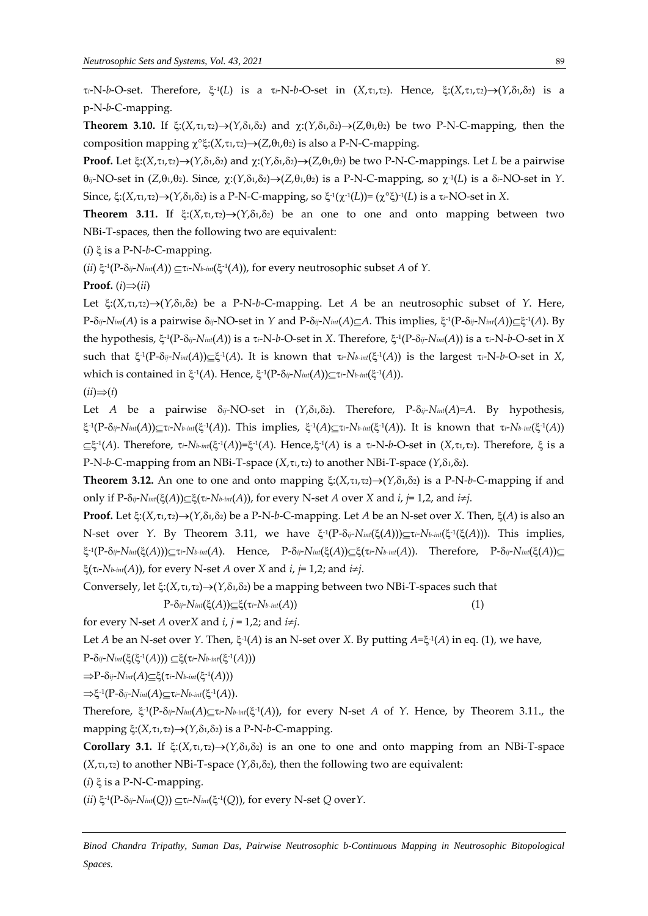*τ*<sub>*i*</sub>-N-*b*-O-set. Therefore, ξ<sup>-1</sup>(*L*) is a *τ<sub>i</sub>*-N-*b*-O-set in (*X*,τ*ι*,τ*2*). Hence, ξ:(*X*,τ*ι*,τ*2*)→(*Y*,δ*ι*,δ*2*) is a p-N-*b*-C-mapping.

**Theorem 3.10.** If  $\xi: (X, \tau_1, \tau_2) \to (Y, \delta_1, \delta_2)$  and  $\gamma: (Y, \delta_1, \delta_2) \to (Z, \theta_1, \theta_2)$  be two P-N-C-mapping, then the composition mapping  $\chi^{\circ} \xi : (X, \tau_1, \tau_2) \rightarrow (Z, \theta_1, \theta_2)$  is also a P-N-C-mapping.

**Proof.** Let  $\xi: (X, \tau_1, \tau_2) \rightarrow (Y, \delta_1, \delta_2)$  and  $\chi: (Y, \delta_1, \delta_2) \rightarrow (Z, \theta_1, \theta_2)$  be two P-N-C-mappings. Let *L* be a pairwise  $\theta_{ij}$ -NO-set in (*Z*, $\theta_1$ , $\theta_2$ ). Since,  $\chi$ :( $Y$ , $\delta_1$ , $\delta_2$ )  $\rightarrow$ (*Z*, $\theta_1$ , $\theta_2$ ) is a P-N-C-mapping, so  $\chi$ <sup>-1</sup>(*L*) is a  $\delta_i$ -NO-set in *Y*. Since, ξ:(X,τ1,τ2)→(Y,δ1,δ2) is a P-N-C-mapping, so ξ<sup>-1</sup>(χ<sup>-1</sup>(L))= (χ°ξ)<sup>-1</sup>(L) is a τ.-NO-set in X.

**Theorem 3.11.** If  $\xi: (X, \tau_1, \tau_2) \rightarrow (Y, \delta_1, \delta_2)$  be an one to one and onto mapping between two NBi-T-spaces, then the following two are equivalent:

 $(i)$   $\xi$  is a P-N-b-C-mapping.

(*ii*)  $\xi$ <sup>-1</sup>(P- $\delta$ *ij-Nint*(*A*))  $\subseteq$   $\tau$ *i-Nb-int*( $\xi$ <sup>-1</sup>(*A*)), for every neutrosophic subset *A* of *Y*.

**Proof.** (*i*) $\Rightarrow$ (*ii*)

Let  $\xi$ :(*X*, $\tau_1$ , $\tau_2$ )  $\rightarrow$ (*Y*, $\delta_1$ , $\delta_2$ ) be a P-N-*b*-C-mapping. Let *A* be an neutrosophic subset of *Y*. Here, *P*-δ*ij*-*Nint*(*A*) is a pairwise δ<sub>ij</sub>-NO-set in *Y* and *P*-δ*ij-Nint*(*A*)⊆*A*. This implies, ξ<sup>-1</sup>(*P*-δ*ij-Nint*(*A*))⊆ξ<sup>-1</sup>(*A*). By the hypothesis, ξ<sup>-1</sup>(P-δ<sub>ij</sub>-N<sub>int</sub>(A)) is a τ<sub>i</sub>-N-b-O-set in *X*. Therefore, ξ<sup>-1</sup>(P-δ<sub>ij</sub>-N<sub>int</sub>(A)) is a τ<sub>i</sub>-N-b-O-set in *X* such that  $\xi^1(P-\delta_{ij}-N_{int}(A))\subseteq \xi^1(A)$ . It is known that  $\tau_i\text{-}N_{b-int}(\xi^1(A))$  is the largest  $\tau_i\text{-}N\text{-}b\text{-}O\text{-}set$  in X, which is contained in ξ<sup>-1</sup>(A). Hence, ξ<sup>-1</sup>(P-δ<sub>ij</sub>-N<sub>int</sub>(A))⊆τι-Νb-int</sub>(ξ<sup>-1</sup>(A)).

$$
(ii)\Rightarrow (i)
$$

Let *A* be a pairwise  $\delta_{ij}$ -NO-set in  $(Y, \delta_1, \delta_2)$ . Therefore, P- $\delta_{ij}$ -*N<sub>int</sub>*(*A*)=*A*. By hypothesis,  $\xi$ -1(P- $\delta$ ij-Nint(A)) $\subseteq$ τi-Nb-int(ξ-1(A)). This implies, ξ-1(A) $\subseteq$ τi-Nb-int(ξ-1(A)). It is known that τi-Nb-int(ξ-1(A))  $\subseteq$  $\xi$ <sup>-1</sup>(A). Therefore,  $\tau$ *i*-*Nb*-*int*( $\xi$ <sup>-1</sup>(A))= $\xi$ <sup>-1</sup>(A). Hence, $\xi$ <sup>-1</sup>(A) is a  $\tau$ *i*-N-*b*-O-set in (X, $\tau$ 1, $\tau$ 2). Therefore,  $\xi$  is a P-N-b-C-mapping from an NBi-T-space  $(X, \tau_1, \tau_2)$  to another NBi-T-space  $(Y, \delta_1, \delta_2)$ .

**Theorem 3.12.** An one to one and onto mapping  $\xi: (X, \tau_1, \tau_2) \rightarrow (Y, \delta_1, \delta_2)$  is a P-N-*b*-C-mapping if and only if  $P$ - $\delta_{ij}$ - $N_{int}(\xi(A)) \subseteq \xi(\tau_i - N_{b-int}(A))$ , for every N-set *A* over *X* and *i*, *j*= 1,2, and *i*≠*j*.

**Proof.** Let  $\xi: (X, \tau_1, \tau_2) \rightarrow (Y, \delta_1, \delta_2)$  be a P-N-b-C-mapping. Let *A* be an N-set over *X*. Then,  $\xi(A)$  is also an N-set over *Y*. By Theorem 3.11, we have -1 (P-*ij*-*Nint*((*A*)))*i*-*Nb-int*( -1 ((*A*))). This implies,  $\xi$ <sup>-1</sup>(P-δij-Nint(ξ(A))) $\subseteq$ τi-Nb-int(A). Hence, P-δij-Nint(ξ(A)) $\subseteq$ ξ(τi-Nb-int(A)). Therefore, P-δij-Nint(ξ(A)) $\subseteq$  $\xi(\tau_i - N_{b-int}(A))$ , for every N-set *A* over *X* and *i*, *j*= 1,2; and *i* $\neq$ *j*.

Conversely, let  $\xi: (X, \tau_1, \tau_2) \rightarrow (Y, \delta_1, \delta_2)$  be a mapping between two NBi-T-spaces such that

 $P-\delta_{ij}$ - $N_{int}(\xi(A))\subseteq \xi(\tau_i-N_{b-int}(A))$  (1)

for every N-set *A* over*X* and  $i, j = 1,2$ ; and  $i \neq j$ .

Let *A* be an N-set over *Y*. Then,  $\xi$ <sup>-1</sup>(*A*) is an N-set over *X*. By putting *A*= $\xi$ <sup>-1</sup>(*A*) in eq. (1), we have,

 $P$ - $\delta$ *ij*- $N$ *int*( $\xi$ ( $\xi$ <sup>-1</sup> $(A))$ )) $\subseteq$  $\xi$ ( $\tau$ *i*- $N$ *b-int*( $\xi$ <sup>-1</sup> $(A))$ )

 $\Rightarrow$  P-δ*ij*-*Nint*(*A*)⊆ξ(τ*i*-*Nb-int*(ξ<sup>-1</sup>(*A*)))

 $\Rightarrow \xi^{-1}(P-\delta_{ij}-N_{int}(A))\subseteq \tau_i-N_{b-int}(\xi^{-1}(A)).$ 

Therefore,  $\xi^1(P-\delta_{ij}-N_{init}(A)\subseteq \tau_i-N_{b-int}(\xi^1(A))$ , for every N-set *A* of *Y*. Hence, by Theorem 3.11., the mapping  $\xi$ :(*X*, $\tau$ <sub>1</sub>, $\tau$ <sub>2</sub>)  $\rightarrow$ (*Y*, $\delta$ <sub>1</sub>, $\delta$ <sub>2</sub>) is a P-N-*b*-C-mapping.

**Corollary 3.1.** If  $\xi: (X, \tau_1, \tau_2) \rightarrow (Y, \delta_1, \delta_2)$  is an one to one and onto mapping from an NBi-T-space  $(X, \tau_1, \tau_2)$  to another NBi-T-space  $(Y, \delta_1, \delta_2)$ , then the following two are equivalent:

 $(i)$   $\xi$  is a P-N-C-mapping.

 $(iii) \xi^{-1}(P-\delta_{ij}-Nm_i(Q)) \subseteq \tau_i-N_{int}(\xi^{-1}(Q)),$  for every N-set *Q* over *Y*.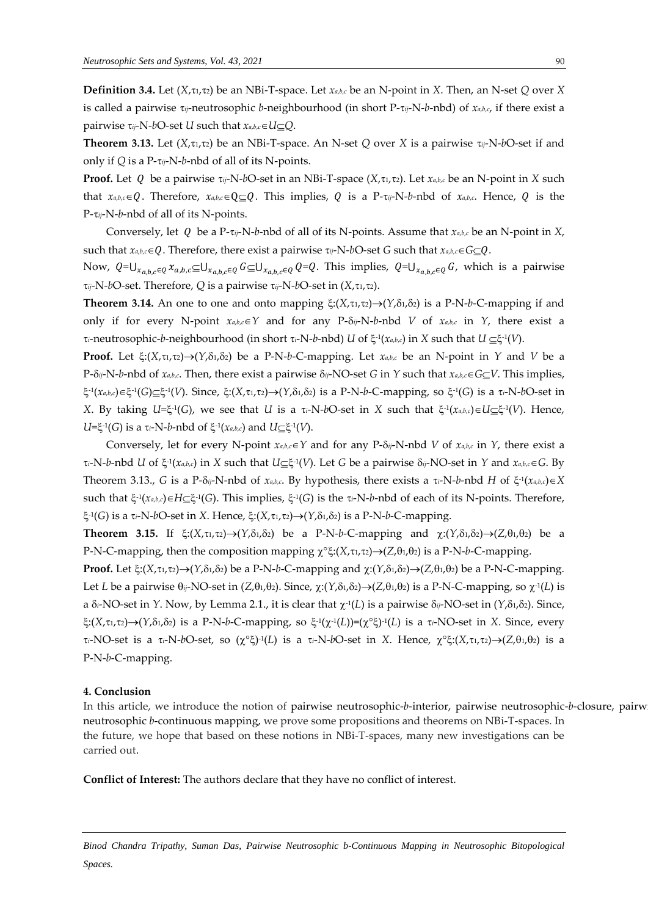**Definition 3.4.** Let  $(X, \tau_1, \tau_2)$  be an NBi-T-space. Let  $x_{a,b,c}$  be an N-point in *X*. Then, an N-set *Q* over *X* is called a pairwise *ij*-neutrosophic *b*-neighbourhood (in short P-*ij*-N-*b*-nbd) of *xa*,*b*,*c*, if there exist a pairwise  $\tau_{ij}$ -N-*b*O-set *U* such that  $x_{a,b,c} \in U \subset Q$ .

**Theorem 3.13.** Let  $(X, \tau_1, \tau_2)$  be an NBi-T-space. An N-set *Q* over *X* is a pairwise  $\tau_{ij}$ -N-*b*O-set if and only if *Q* is a P-*ij*-N-*b*-nbd of all of its N-points.

**Proof.** Let Q be a pairwise  $\tau_{ij}$ -N-bO-set in an NBi-T-space  $(X, \tau_i, \tau_i)$ . Let  $\chi_{a,b,c}$  be an N-point in X such that  $x_{a,b,c} \in Q$ . Therefore,  $x_{a,b,c} \in Q \subset Q$ . This implies, Q is a P- $\tau_{ij}$ -N-b-nbd of  $x_{a,b,c}$ . Hence, Q is the P-*ij*-N-*b*-nbd of all of its N-points.

Conversely, let Q be a P- $\tau_{ij}$ -N-*b*-nbd of all of its N-points. Assume that  $x_{a,b,c}$  be an N-point in *X*, such that  $x_{a,b,c} \in Q$ . Therefore, there exist a pairwise  $\tau_{ij}$ -N-bO-set *G* such that  $x_{a,b,c} \in G \subseteq Q$ .

Now,  $Q = \bigcup_{x_{a,b,c} \in Q} x_{a,b,c} \subseteq \bigcup_{x_{a,b,c} \in Q} G \subseteq \bigcup_{x_{a,b,c} \in Q} Q = Q$ . This implies,  $Q = \bigcup_{x_{a,b,c} \in Q} G$ , which is a pairwise  $\tau_{ij}$ -N-*b*O-set. Therefore, *Q* is a pairwise  $\tau_{ij}$ -N-*b*O-set in (*X*, $\tau_1$ , $\tau_2$ ).

**Theorem 3.14.** An one to one and onto mapping  $\xi$ :  $(X, \tau_1, \tau_2) \rightarrow (Y, \delta_1, \delta_2)$  is a P-N-*b*-C-mapping if and only if for every N-point  $x_{a,b,c} \in Y$  and for any P- $\delta_{ij}$ -N-*b*-nbd *V* of  $x_{a,b,c}$  in *Y*, there exist a *i*-neutrosophic-*b*-neighbourhood (in short *i*-N-*b*-nbd) *U* of -1 (*xa*,*b*,*c*) in *X* such that *U*  -1 (*V*).

**Proof.** Let  $\xi: (X, \tau_1, \tau_2) \rightarrow (Y, \delta_1, \delta_2)$  be a P-N-*b*-C-mapping. Let  $x_{a,b,c}$  be an N-point in *Y* and *V* be a  $P$ - $\delta_{ij}$ -N-*b*-nbd of  $x_{a,b,c}$ . Then, there exist a pairwise  $\delta_{ij}$ -NO-set *G* in *Y* such that  $x_{a,b,c} \in G \subseteq V$ . This implies, -1 (*xa*,*b*,*c*) -1 (*G*) -1 (*V*). Since, :(*X*,1,2)(*Y*,1,2) is a P-N-*b*-C-mapping, so -1 (*G*) is a *i*-N-*b*O-set in *X*. By taking  $U=\xi^{-1}(G)$ , we see that *U* is a  $\tau_i$ -N-*bO*-set in *X* such that  $\xi^{-1}(x_{a,b,c})\in U \subseteq \xi^{-1}(V)$ . Hence,  $U=\xi^{-1}(G)$  is a  $\tau_i$ -N-*b*-nbd of  $\xi^{-1}(x_{a,b,c})$  and  $U \subseteq \xi^{-1}(V)$ .

Conversely, let for every N-point  $x_{a,b,c} \in Y$  and for any P- $\delta_{ij}$ -N-nbd *V* of  $x_{a,b,c}$  in *Y*, there exist a τ<sub>*i*</sub>-N-b-nbd *U* of ξ<sup>1</sup>(χ<sub>a,b,c</sub>) in *X* such that *U*⊆ξ<sup>1</sup>(*V*). Let *G* be a pairwise δ<sub>ij</sub>-NO-set in *Y* and *χ*<sub>a,b,c</sub>∈*G*. By Theorem 3.13., *G* is a P- $\delta_{ij}$ -N-nbd of  $x_{a,b,c}$ . By hypothesis, there exists a  $\tau_i$ -N-*b*-nbd *H* of  $\xi$ <sup>-1</sup>( $x_{a,b,c}$ ) $\in$ *X* such that  $\xi$ <sup>-1</sup>( $x_{a,b,c}$ ) $\in$ H $\subseteq$  $\xi$ <sup>-1</sup>( $G$ ). This implies,  $\xi$ <sup>-1</sup>( $G$ ) is the  $\tau_i$ -N-*b*-nbd of each of its N-points. Therefore,  $\xi$ <sup>-1</sup>(G) is a τ<sub>*i*</sub>-N-bO-set in *X*. Hence,  $\xi$ :(*X*,τι,τ2) $\rightarrow$ (*Y*,δι,δ2) is a P-N-b-C-mapping.

**Theorem 3.15.** If  $\xi: (X, \tau_1, \tau_2) \rightarrow (Y, \delta_1, \delta_2)$  be a P-N-b-C-mapping and  $\chi: (Y, \delta_1, \delta_2) \rightarrow (Z, \theta_1, \theta_2)$  be a P-N-C-mapping, then the composition mapping  $\chi^{\circ} \xi: (X, \tau_1, \tau_2) \rightarrow (Z, \theta_1, \theta_2)$  is a P-N-*b*-C-mapping.

**Proof.** Let  $\xi: (X, \tau_1, \tau_2) \rightarrow (Y, \delta_1, \delta_2)$  be a P-N-*b*-C-mapping and  $\chi: (Y, \delta_1, \delta_2) \rightarrow (Z, \theta_1, \theta_2)$  be a P-N-C-mapping. Let *L* be a pairwise  $\theta_{ij}$ -NO-set in (*Z*, $\theta_1$ , $\theta_2$ ). Since,  $\chi$ :( $Y$ , $\delta_1$ , $\delta_2$ ) $\rightarrow$ (*Z*, $\theta_1$ , $\theta_2$ ) is a P-N-C-mapping, so  $\chi$ <sup>-1</sup>(*L*) is a  $\delta$ *i*-NO-set in *Y*. Now, by Lemma 2.1., it is clear that  $\chi$ <sup>1</sup>(L) is a pairwise  $\delta$ *ij*-NO-set in (*Y*, $\delta$ 1, $\delta$ 2). Since,  $\xi:(X,\tau_1,\tau_2)\to (Y,\delta_1,\delta_2)$  is a P-N-*b-C-mapping, so*  $\xi^{-1}(\chi^{-1}(L))=(\chi^\circ\xi)^{-1}(L)$  is a  $\tau_i$ -NO-set in *X*. Since, every *τ*<sub>i</sub>-NO-set is a τ<sub>i</sub>-N-bO-set, so (χ°ξ)<sup>-1</sup>(L) is a τ<sub>i</sub>-N-bO-set in *X*. Hence, χ°ξ:(*X*,τ1,τ2)→(Ζ,θ1,θ2) is a P-N-*b*-C-mapping.

#### **4. Conclusion**

In this article, we introduce the notion of pairwise neutrosophic-b-interior, pairwise neutrosophic-b-closure, pairw neutrosophic *b*-continuous mapping, we prove some propositions and theorems on NBi-T-spaces. In the future, we hope that based on these notions in NBi-T-spaces, many new investigations can be carried out.

**Conflict of Interest:** The authors declare that they have no conflict of interest.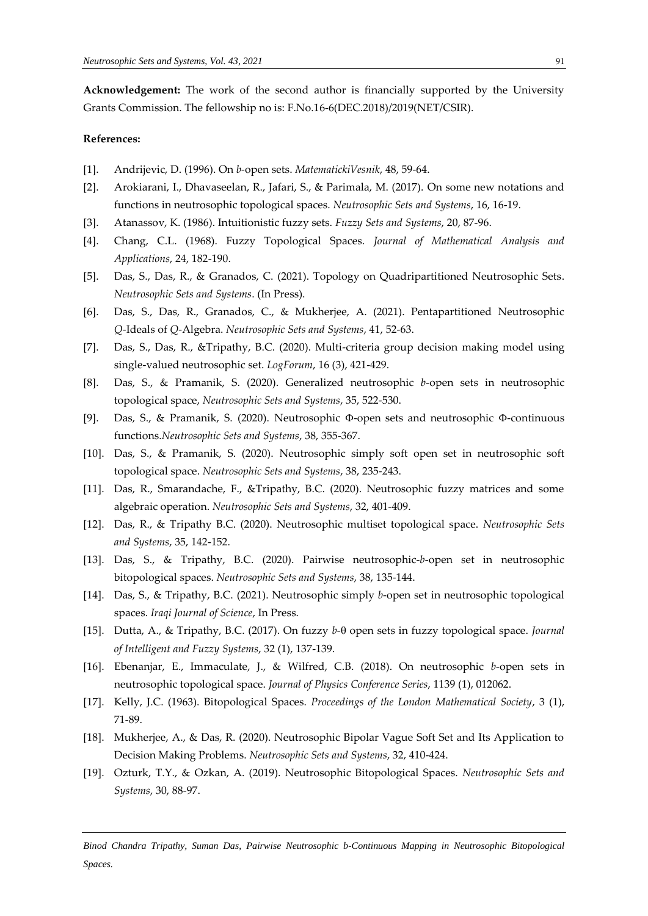**Acknowledgement:** The work of the second author is financially supported by the University Grants Commission. The fellowship no is: F.No.16-6(DEC.2018)/2019(NET/CSIR).

#### **References:**

- [1]. Andrijevic, D. (1996). On *b*-open sets. *MatematickiVesnik*, 48, 59-64.
- [2]. Arokiarani, I., Dhavaseelan, R., Jafari, S., & Parimala, M. (2017). On some new notations and functions in neutrosophic topological spaces. *Neutrosophic Sets and Systems*, 16, 16-19.
- [3]. Atanassov, K. (1986). Intuitionistic fuzzy sets. *Fuzzy Sets and Systems*, 20, 87-96.
- [4]. Chang, C.L. (1968). Fuzzy Topological Spaces. *Journal of Mathematical Analysis and Applications*, 24, 182-190.
- [5]. Das, S., Das, R., & Granados, C. (2021). Topology on Quadripartitioned Neutrosophic Sets. *Neutrosophic Sets and Systems*. (In Press).
- [6]. Das, S., Das, R., Granados, C., & Mukherjee, A. (2021). Pentapartitioned Neutrosophic *Q*-Ideals of *Q*-Algebra. *Neutrosophic Sets and Systems*, 41, 52-63.
- [7]. Das, S., Das, R., &Tripathy, B.C. (2020). Multi-criteria group decision making model using single-valued neutrosophic set. *LogForum*, 16 (3), 421-429.
- [8]. Das, S., & Pramanik, S. (2020). Generalized neutrosophic *b*-open sets in neutrosophic topological space, *Neutrosophic Sets and Systems*, 35, 522-530.
- [9]. Das, S., & Pramanik, S. (2020). Neutrosophic  $\Phi$ -open sets and neutrosophic  $\Phi$ -continuous functions.*Neutrosophic Sets and Systems*, 38, 355-367.
- [10]. Das, S., & Pramanik, S. (2020). Neutrosophic simply soft open set in neutrosophic soft topological space. *Neutrosophic Sets and Systems*, 38, 235-243.
- [11]. Das, R., Smarandache, F., &Tripathy, B.C. (2020). Neutrosophic fuzzy matrices and some algebraic operation. *Neutrosophic Sets and Systems*, 32, 401-409.
- [12]. Das, R., & Tripathy B.C. (2020). Neutrosophic multiset topological space. *Neutrosophic Sets and Systems*, 35, 142-152.
- [13]. Das, S., & Tripathy, B.C. (2020). Pairwise neutrosophic-*b*-open set in neutrosophic bitopological spaces. *Neutrosophic Sets and Systems*, 38, 135-144.
- [14]. Das, S., & Tripathy, B.C. (2021). Neutrosophic simply *b*-open set in neutrosophic topological spaces. *Iraqi Journal of Science*, In Press.
- [15]. Dutta, A., & Tripathy, B.C. (2017). On fuzzy *b* open sets in fuzzy topological space. *Journal of Intelligent and Fuzzy Systems*, 32 (1), 137-139.
- [16]. Ebenanjar, E., Immaculate, J., & Wilfred, C.B. (2018). On neutrosophic *b*-open sets in neutrosophic topological space. *Journal of Physics Conference Series*, 1139 (1), 012062.
- [17]. Kelly, J.C. (1963). Bitopological Spaces. *Proceedings of the London Mathematical Society*, 3 (1), 71-89.
- [18]. Mukherjee, A., & Das, R. (2020). Neutrosophic Bipolar Vague Soft Set and Its Application to Decision Making Problems. *Neutrosophic Sets and Systems*, 32, 410-424.
- [19]. Ozturk, T.Y., & Ozkan, A. (2019). Neutrosophic Bitopological Spaces. *Neutrosophic Sets and Systems*, 30, 88-97.